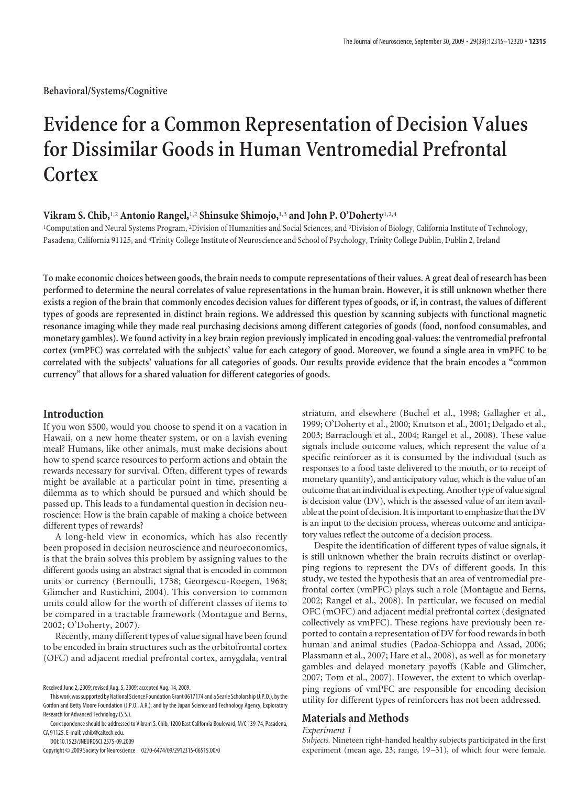# **Evidence for a Common Representation of Decision Values for Dissimilar Goods in Human Ventromedial Prefrontal Cortex**

## **Vikram S. Chib,**1,2 **Antonio Rangel,**1,2 **Shinsuke Shimojo,**1,3 **and John P. O'Doherty**1,2,4

1 Computation and Neural Systems Program, <sup>2</sup> Division of Humanities and Social Sciences, and <sup>3</sup> Division of Biology, California Institute of Technology, Pasadena, California 91125, and <sup>4</sup>Trinity College Institute of Neuroscience and School of Psychology, Trinity College Dublin, Dublin 2, Ireland

**To make economic choices between goods, the brain needs to compute representations of their values. A great deal of research has been performed to determine the neural correlates of value representations in the human brain. However, it is still unknown whether there exists a region of the brain that commonly encodes decision values for different types of goods, or if, in contrast, the values of different types of goods are represented in distinct brain regions. We addressed this question by scanning subjects with functional magnetic resonance imaging while they made real purchasing decisions among different categories of goods (food, nonfood consumables, and monetary gambles). We found activity in a key brain region previously implicated in encoding goal-values: the ventromedial prefrontal cortex (vmPFC) was correlated with the subjects' value for each category of good. Moreover, we found a single area in vmPFC to be correlated with the subjects' valuations for all categories of goods. Our results provide evidence that the brain encodes a "common currency" that allows for a shared valuation for different categories of goods.**

# **Introduction**

If you won \$500, would you choose to spend it on a vacation in Hawaii, on a new home theater system, or on a lavish evening meal? Humans, like other animals, must make decisions about how to spend scarce resources to perform actions and obtain the rewards necessary for survival. Often, different types of rewards might be available at a particular point in time, presenting a dilemma as to which should be pursued and which should be passed up. This leads to a fundamental question in decision neuroscience: How is the brain capable of making a choice between different types of rewards?

A long-held view in economics, which has also recently been proposed in decision neuroscience and neuroeconomics, is that the brain solves this problem by assigning values to the different goods using an abstract signal that is encoded in common units or currency (Bernoulli, 1738; Georgescu-Roegen, 1968; Glimcher and Rustichini, 2004). This conversion to common units could allow for the worth of different classes of items to be compared in a tractable framework (Montague and Berns, 2002; O'Doherty, 2007).

Recently, many different types of value signal have been found to be encoded in brain structures such as the orbitofrontal cortex (OFC) and adjacent medial prefrontal cortex, amygdala, ventral

DOI:10.1523/JNEUROSCI.2575-09.2009

striatum, and elsewhere (Buchel et al., 1998; Gallagher et al., 1999; O'Doherty et al., 2000; Knutson et al., 2001; Delgado et al., 2003; Barraclough et al., 2004; Rangel et al., 2008). These value signals include outcome values, which represent the value of a specific reinforcer as it is consumed by the individual (such as responses to a food taste delivered to the mouth, or to receipt of monetary quantity), and anticipatory value, which is the value of an outcome that an individual is expecting. Another type of value signal is decision value (DV), which is the assessed value of an item available at the point of decision. It is important to emphasize that the DV is an input to the decision process, whereas outcome and anticipatory values reflect the outcome of a decision process.

Despite the identification of different types of value signals, it is still unknown whether the brain recruits distinct or overlapping regions to represent the DVs of different goods. In this study, we tested the hypothesis that an area of ventromedial prefrontal cortex (vmPFC) plays such a role (Montague and Berns, 2002; Rangel et al., 2008). In particular, we focused on medial OFC (mOFC) and adjacent medial prefrontal cortex (designated collectively as vmPFC). These regions have previously been reported to contain a representation of DV for food rewards in both human and animal studies (Padoa-Schioppa and Assad, 2006; Plassmann et al., 2007; Hare et al., 2008), as well as for monetary gambles and delayed monetary payoffs (Kable and Glimcher, 2007; Tom et al., 2007). However, the extent to which overlapping regions of vmPFC are responsible for encoding decision utility for different types of reinforcers has not been addressed.

# **Materials and Methods**

## *Experiment 1*

*Subjects.* Nineteen right-handed healthy subjects participated in the first experiment (mean age, 23; range, 19 –31), of which four were female.

Received June 2, 2009; revised Aug. 5, 2009; accepted Aug. 14, 2009.

This work wassupported by National Science Foundation Grant 0617174 and a Searle Scholarship(J.P.O.), bythe Gordon and Betty Moore Foundation (J.P.O., A.R.), and by the Japan Science and Technology Agency, Exploratory Research for Advanced Technology (S.S.).

Correspondence should be addressed to Vikram S. Chib, 1200 East California Boulevard, M/C 139-74, Pasadena, CA 91125. E-mail: vchib@caltech.edu.

Copyright © 2009 Society for Neuroscience 0270-6474/09/2912315-06\$15.00/0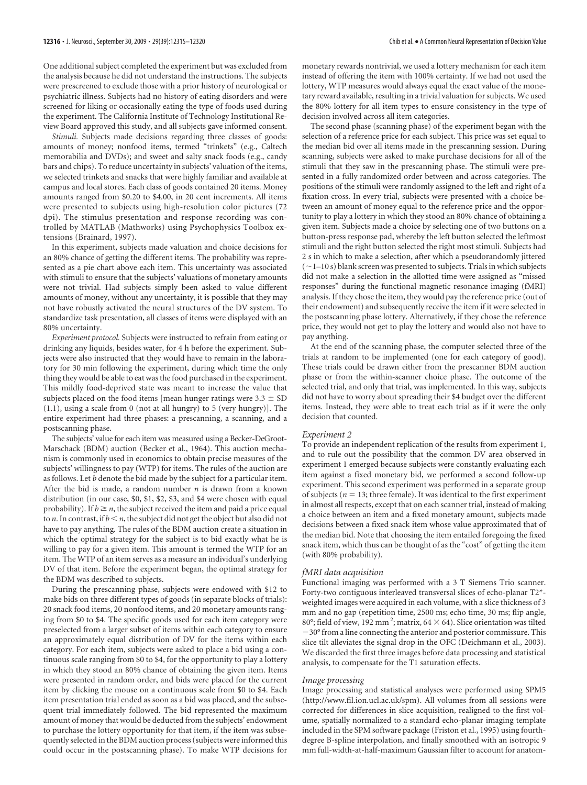One additional subject completed the experiment but was excluded from the analysis because he did not understand the instructions. The subjects were prescreened to exclude those with a prior history of neurological or psychiatric illness. Subjects had no history of eating disorders and were screened for liking or occasionally eating the type of foods used during the experiment. The California Institute of Technology Institutional Review Board approved this study, and all subjects gave informed consent.

*Stimuli.* Subjects made decisions regarding three classes of goods: amounts of money; nonfood items, termed "trinkets" (e.g., Caltech memorabilia and DVDs); and sweet and salty snack foods (e.g., candy bars and chips). To reduce uncertainty in subjects' valuation of the items, we selected trinkets and snacks that were highly familiar and available at campus and local stores. Each class of goods contained 20 items. Money amounts ranged from \$0.20 to \$4.00, in 20 cent increments. All items were presented to subjects using high-resolution color pictures (72 dpi). The stimulus presentation and response recording was controlled by MATLAB (Mathworks) using Psychophysics Toolbox extensions (Brainard, 1997).

In this experiment, subjects made valuation and choice decisions for an 80% chance of getting the different items. The probability was represented as a pie chart above each item. This uncertainty was associated with stimuli to ensure that the subjects' valuations of monetary amounts were not trivial. Had subjects simply been asked to value different amounts of money, without any uncertainty, it is possible that they may not have robustly activated the neural structures of the DV system. To standardize task presentation, all classes of items were displayed with an 80% uncertainty.

*Experiment protocol.* Subjects were instructed to refrain from eating or drinking any liquids, besides water, for 4 h before the experiment. Subjects were also instructed that they would have to remain in the laboratory for 30 min following the experiment, during which time the only thing they would be able to eat was the food purchased in the experiment. This mildly food-deprived state was meant to increase the value that subjects placed on the food items [mean hunger ratings were  $3.3 \pm SD$ (1.1), using a scale from 0 (not at all hungry) to 5 (very hungry)]. The entire experiment had three phases: a prescanning, a scanning, and a postscanning phase.

The subjects' value for each item was measured using a Becker-DeGroot-Marschack (BDM) auction (Becker et al., 1964). This auction mechanism is commonly used in economics to obtain precise measures of the subjects' willingness to pay (WTP) for items. The rules of the auction are as follows. Let *b* denote the bid made by the subject for a particular item. After the bid is made, a random number *n* is drawn from a known distribution (in our case, \$0, \$1, \$2, \$3, and \$4 were chosen with equal probability). If  $b \ge n$ , the subject received the item and paid a price equal to *n*. In contrast, if  $b < n$ , the subject did not get the object but also did not have to pay anything. The rules of the BDM auction create a situation in which the optimal strategy for the subject is to bid exactly what he is willing to pay for a given item. This amount is termed the WTP for an item. The WTP of an item serves as a measure an individual's underlying DV of that item. Before the experiment began, the optimal strategy for the BDM was described to subjects.

During the prescanning phase, subjects were endowed with \$12 to make bids on three different types of goods (in separate blocks of trials): 20 snack food items, 20 nonfood items, and 20 monetary amounts ranging from \$0 to \$4. The specific goods used for each item category were preselected from a larger subset of items within each category to ensure an approximately equal distribution of DV for the items within each category. For each item, subjects were asked to place a bid using a continuous scale ranging from \$0 to \$4, for the opportunity to play a lottery in which they stood an 80% chance of obtaining the given item. Items were presented in random order, and bids were placed for the current item by clicking the mouse on a continuous scale from \$0 to \$4. Each item presentation trial ended as soon as a bid was placed, and the subsequent trial immediately followed. The bid represented the maximum amount of money that would be deducted from the subjects' endowment to purchase the lottery opportunity for that item, if the item was subsequently selected in the BDM auction process (subjects were informed this could occur in the postscanning phase). To make WTP decisions for

monetary rewards nontrivial, we used a lottery mechanism for each item instead of offering the item with 100% certainty. If we had not used the lottery, WTP measures would always equal the exact value of the monetary reward available, resulting in a trivial valuation for subjects. We used the 80% lottery for all item types to ensure consistency in the type of decision involved across all item categories.

The second phase (scanning phase) of the experiment began with the selection of a reference price for each subject. This price was set equal to the median bid over all items made in the prescanning session. During scanning, subjects were asked to make purchase decisions for all of the stimuli that they saw in the prescanning phase. The stimuli were presented in a fully randomized order between and across categories. The positions of the stimuli were randomly assigned to the left and right of a fixation cross. In every trial, subjects were presented with a choice between an amount of money equal to the reference price and the opportunity to play a lottery in which they stood an 80% chance of obtaining a given item. Subjects made a choice by selecting one of two buttons on a button-press response pad, whereby the left button selected the leftmost stimuli and the right button selected the right most stimuli. Subjects had 2 s in which to make a selection, after which a pseudorandomly jittered  $(-1-10 s)$  blank screen was presented to subjects. Trials in which subjects did not make a selection in the allotted time were assigned as "missed responses" during the functional magnetic resonance imaging (fMRI) analysis. If they chose the item, they would pay the reference price (out of their endowment) and subsequently receive the item if it were selected in the postscanning phase lottery. Alternatively, if they chose the reference price, they would not get to play the lottery and would also not have to pay anything.

At the end of the scanning phase, the computer selected three of the trials at random to be implemented (one for each category of good). These trials could be drawn either from the prescanner BDM auction phase or from the within-scanner choice phase. The outcome of the selected trial, and only that trial, was implemented. In this way, subjects did not have to worry about spreading their \$4 budget over the different items. Instead, they were able to treat each trial as if it were the only decision that counted.

#### *Experiment 2*

To provide an independent replication of the results from experiment 1, and to rule out the possibility that the common DV area observed in experiment 1 emerged because subjects were constantly evaluating each item against a fixed monetary bid, we performed a second follow-up experiment. This second experiment was performed in a separate group of subjects ( $n = 13$ ; three female). It was identical to the first experiment in almost all respects, except that on each scanner trial, instead of making a choice between an item and a fixed monetary amount, subjects made decisions between a fixed snack item whose value approximated that of the median bid. Note that choosing the item entailed foregoing the fixed snack item, which thus can be thought of as the "cost" of getting the item (with 80% probability).

## *fMRI data acquisition*

Functional imaging was performed with a 3 T Siemens Trio scanner. Forty-two contiguous interleaved transversal slices of echo-planar T2\* weighted images were acquired in each volume, with a slice thickness of 3 mm and no gap (repetition time, 2500 ms; echo time, 30 ms; flip angle, 80°; field of view, 192 mm<sup>2</sup>; matrix, 64  $\times$  64). Slice orientation was tilted 30° from a line connecting the anterior and posterior commissure. This slice tilt alleviates the signal drop in the OFC (Deichmann et al., 2003). We discarded the first three images before data processing and statistical analysis, to compensate for the T1 saturation effects.

#### *Image processing*

Image processing and statistical analyses were performed using SPM5 (http://www.fil.ion.ucl.ac.uk/spm). All volumes from all sessions were corrected for differences in slice acquisition, realigned to the first volume, spatially normalized to a standard echo-planar imaging template included in the SPM software package (Friston et al., 1995) using fourthdegree B-spline interpolation, and finally smoothed with an isotropic 9 mm full-width-at-half-maximum Gaussian filter to account for anatom-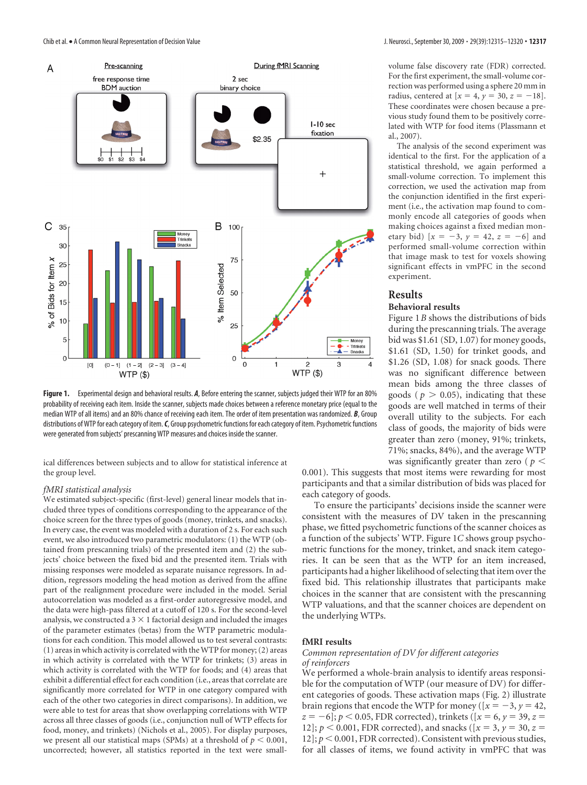

**Figure 1.** Experimental design and behavioral results. *A*, Before entering the scanner, subjects judged their WTP for an 80% probability of receiving each item. Inside the scanner, subjects made choices between a reference monetary price (equal to the median WTP of all items) and an 80% chance of receiving each item. The order of item presentation was randomized. *B*, Group distributions of WTP for each category of item.*C*, Group psychometric functions for each category of item. Psychometric functions were generated from subjects' prescanning WTP measures and choices inside the scanner.

ical differences between subjects and to allow for statistical inference at the group level.

#### *fMRI statistical analysis*

We estimated subject-specific (first-level) general linear models that included three types of conditions corresponding to the appearance of the choice screen for the three types of goods (money, trinkets, and snacks). In every case, the event was modeled with a duration of 2 s. For each such event, we also introduced two parametric modulators: (1) the WTP (obtained from prescanning trials) of the presented item and (2) the subjects' choice between the fixed bid and the presented item. Trials with missing responses were modeled as separate nuisance regressors. In addition, regressors modeling the head motion as derived from the affine part of the realignment procedure were included in the model. Serial autocorrelation was modeled as a first-order autoregressive model, and the data were high-pass filtered at a cutoff of 120 s. For the second-level analysis, we constructed a  $3 \times 1$  factorial design and included the images of the parameter estimates (betas) from the WTP parametric modulations for each condition. This model allowed us to test several contrasts: (1) areas in which activity is correlated with theWTP for money; (2) areas in which activity is correlated with the WTP for trinkets; (3) areas in which activity is correlated with the WTP for foods; and (4) areas that exhibit a differential effect for each condition (i.e., areas that correlate are significantly more correlated for WTP in one category compared with each of the other two categories in direct comparisons). In addition, we were able to test for areas that show overlapping correlations with WTP across all three classes of goods (i.e., conjunction null of WTP effects for food, money, and trinkets) (Nichols et al., 2005). For display purposes, we present all our statistical maps (SPMs) at a threshold of  $p < 0.001$ , uncorrected; however, all statistics reported in the text were smallvolume false discovery rate (FDR) corrected. For the first experiment, the small-volume correction was performed using a sphere 20 mm in radius, centered at  $[x = 4, y = 30, z = -18]$ . These coordinates were chosen because a previous study found them to be positively correlated with WTP for food items (Plassmann et al., 2007).

The analysis of the second experiment was identical to the first. For the application of a statistical threshold, we again performed a small-volume correction. To implement this correction, we used the activation map from the conjunction identified in the first experiment (i.e., the activation map found to commonly encode all categories of goods when making choices against a fixed median monetary bid)  $[x = -3, y = 42, z = -6]$  and performed small-volume correction within that image mask to test for voxels showing significant effects in vmPFC in the second experiment.

# **Results**

# **Behavioral results**

Figure 1*B* shows the distributions of bids during the prescanning trials. The average bid was \$1.61 (SD, 1.07) for money goods, \$1.61 (SD, 1.50) for trinket goods, and \$1.26 (SD, 1.08) for snack goods. There was no significant difference between mean bids among the three classes of goods ( $p > 0.05$ ), indicating that these goods are well matched in terms of their overall utility to the subjects. For each class of goods, the majority of bids were greater than zero (money, 91%; trinkets, 71%; snacks, 84%), and the average WTP was significantly greater than zero (  $p<$ 

0.001). This suggests that most items were rewarding for most participants and that a similar distribution of bids was placed for each category of goods.

To ensure the participants' decisions inside the scanner were consistent with the measures of DV taken in the prescanning phase, we fitted psychometric functions of the scanner choices as a function of the subjects' WTP. Figure 1*C* shows group psychometric functions for the money, trinket, and snack item categories. It can be seen that as the WTP for an item increased, participants had a higher likelihood of selecting that item over the fixed bid. This relationship illustrates that participants make choices in the scanner that are consistent with the prescanning WTP valuations, and that the scanner choices are dependent on the underlying WTPs.

## **fMRI results**

#### *Common representation of DV for different categories of reinforcers*

We performed a whole-brain analysis to identify areas responsible for the computation of WTP (our measure of DV) for different categories of goods. These activation maps (Fig. 2) illustrate brain regions that encode the WTP for money ( $[x = -3, y = 42,$  $z = -6$ ];  $p < 0.05$ , FDR corrected), trinkets ([ $x = 6$ ,  $y = 39$ ,  $z = 1$ 12];  $p < 0.001$ , FDR corrected), and snacks ([ $x = 3$ ,  $y = 30$ ,  $z =$  $12$ ;  $p < 0.001$ , FDR corrected). Consistent with previous studies, for all classes of items, we found activity in vmPFC that was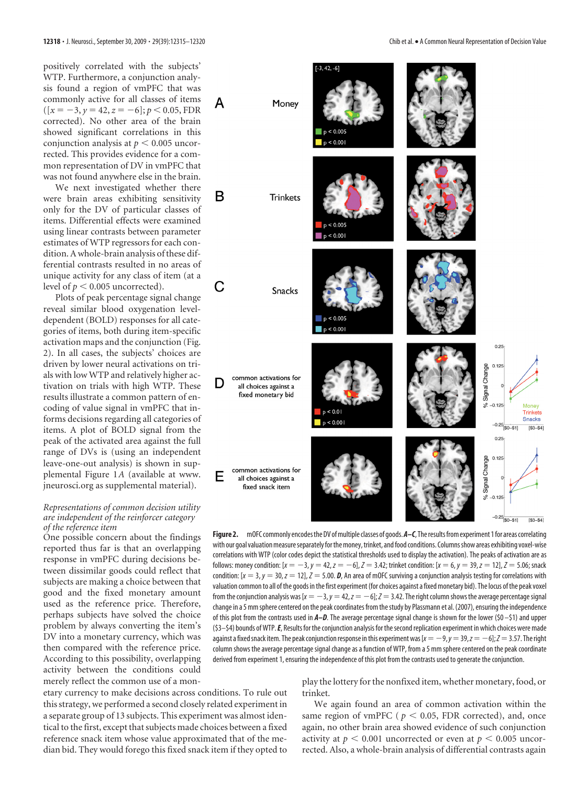positively correlated with the subjects' WTP. Furthermore, a conjunction analysis found a region of vmPFC that was commonly active for all classes of items  $([x = -3, y = 42, z = -6]; p < 0.05$ , FDR corrected). No other area of the brain showed significant correlations in this conjunction analysis at  $p < 0.005$  uncorrected. This provides evidence for a common representation of DV in vmPFC that was not found anywhere else in the brain.

We next investigated whether there were brain areas exhibiting sensitivity only for the DV of particular classes of items. Differential effects were examined using linear contrasts between parameter estimates of WTP regressors for each condition. A whole-brain analysis of these differential contrasts resulted in no areas of unique activity for any class of item (at a level of  $p < 0.005$  uncorrected).

Plots of peak percentage signal change reveal similar blood oxygenation leveldependent (BOLD) responses for all categories of items, both during item-specific activation maps and the conjunction (Fig. 2). In all cases, the subjects' choices are driven by lower neural activations on trials with low WTP and relatively higher activation on trials with high WTP. These results illustrate a common pattern of encoding of value signal in vmPFC that informs decisions regarding all categories of items. A plot of BOLD signal from the peak of the activated area against the full range of DVs is (using an independent leave-one-out analysis) is shown in supplemental Figure 1*A* (available at www. jneurosci.org as supplemental material).

## *Representations of common decision utility are independent of the reinforcer category of the reference item*

One possible concern about the findings reported thus far is that an overlapping response in vmPFC during decisions between dissimilar goods could reflect that subjects are making a choice between that good and the fixed monetary amount used as the reference price. Therefore, perhaps subjects have solved the choice problem by always converting the item's DV into a monetary currency, which was then compared with the reference price. According to this possibility, overlapping activity between the conditions could merely reflect the common use of a mon-

etary currency to make decisions across conditions. To rule out this strategy, we performed a second closely related experiment in a separate group of 13 subjects. This experiment was almost identical to the first, except that subjects made choices between a fixed reference snack item whose value approximated that of the median bid. They would forego this fixed snack item if they opted to



**Figure2.** mOFC commonly encodestheDV ofmultiple classes of goods.*A–C*, Theresultsfrom experiment 1for areas correlating with our goal valuation measure separately for the money, trinket, and food conditions. Columns show areas exhibiting voxel-wise correlations with WTP (color codes depict the statistical thresholds used to display the activation). The peaks of activation are as follows: money condition:  $[x = -3, y = 42, z = -6], Z = 3.42$ ; trinket condition:  $[x = 6, y = 39, z = 12], Z = 5.06$ ; snack condition:  $[x = 3, y = 30, z = 12], Z = 5.00$ .  $D$ , An area of mOFC surviving a conjunction analysis testing for correlations with valuation common to all of the goods in the first experiment (for choices against a fixed monetary bid). The locus of the peak voxel from the conjunction analysis was  $[x=-3, y=42, z=-6]$ ;  $Z=3.42$ . The right column shows the average percentage signal change in a 5 mmsphere centered on the peak coordinates from thestudy by Plassmann et al. (2007), ensuring the independence of this plot from the contrasts used in  $A-D$ . The average percentage signal change is shown for the lower ( $\zeta$ 0 – $\zeta$ 1) and upper (\$3–\$4) bounds of WTP.*E*, Results for the conjunction analysis for thesecond replication experiment in which choices were made against a fixed snack item. The peak conjunction response in this experiment was  $[x = -9, y = 39, z = -6]$ ;  $Z = 3.57$ . The right column shows the average percentage signal change as a function of WTP, from a 5 mm sphere centered on the peak coordinate derived from experiment 1, ensuring the independence of this plot from the contrasts used to generate the conjunction.

play the lottery for the nonfixed item, whether monetary, food, or trinket.

We again found an area of common activation within the same region of vmPFC ( $p < 0.05$ , FDR corrected), and, once again, no other brain area showed evidence of such conjunction activity at  $p < 0.001$  uncorrected or even at  $p < 0.005$  uncorrected. Also, a whole-brain analysis of differential contrasts again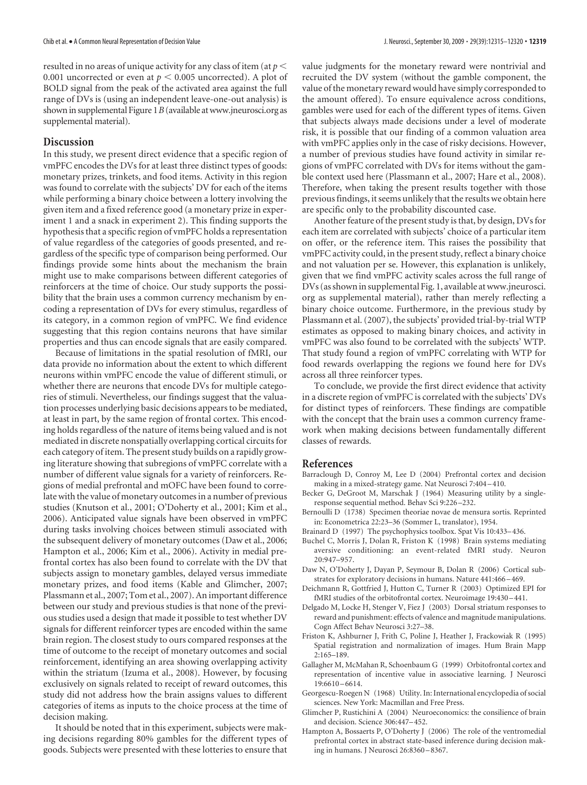resulted in no areas of unique activity for any class of item (at  $p$   $<$ 0.001 uncorrected or even at  $p <$  0.005 uncorrected). A plot of BOLD signal from the peak of the activated area against the full range of DVs is (using an independent leave-one-out analysis) is shown in supplemental Figure 1 *B* (available at www.jneurosci.org as supplemental material).

# **Discussion**

In this study, we present direct evidence that a specific region of vmPFC encodes the DVs for at least three distinct types of goods: monetary prizes, trinkets, and food items. Activity in this region was found to correlate with the subjects' DV for each of the items while performing a binary choice between a lottery involving the given item and a fixed reference good (a monetary prize in experiment 1 and a snack in experiment 2). This finding supports the hypothesis that a specific region of vmPFC holds a representation of value regardless of the categories of goods presented, and regardless of the specific type of comparison being performed. Our findings provide some hints about the mechanism the brain might use to make comparisons between different categories of reinforcers at the time of choice. Our study supports the possibility that the brain uses a common currency mechanism by encoding a representation of DVs for every stimulus, regardless of its category, in a common region of vmPFC. We find evidence suggesting that this region contains neurons that have similar properties and thus can encode signals that are easily compared.

Because of limitations in the spatial resolution of fMRI, our data provide no information about the extent to which different neurons within vmPFC encode the value of different stimuli, or whether there are neurons that encode DVs for multiple categories of stimuli. Nevertheless, our findings suggest that the valuation processes underlying basic decisions appears to be mediated, at least in part, by the same region of frontal cortex. This encoding holds regardless of the nature of items being valued and is not mediated in discrete nonspatially overlapping cortical circuits for each category of item. The present study builds on a rapidly growing literature showing that subregions of vmPFC correlate with a number of different value signals for a variety of reinforcers. Regions of medial prefrontal and mOFC have been found to correlate with the value of monetary outcomes in a number of previous studies (Knutson et al., 2001; O'Doherty et al., 2001; Kim et al., 2006). Anticipated value signals have been observed in vmPFC during tasks involving choices between stimuli associated with the subsequent delivery of monetary outcomes (Daw et al., 2006; Hampton et al., 2006; Kim et al., 2006). Activity in medial prefrontal cortex has also been found to correlate with the DV that subjects assign to monetary gambles, delayed versus immediate monetary prizes, and food items (Kable and Glimcher, 2007; Plassmann et al., 2007; Tom et al., 2007). An important difference between our study and previous studies is that none of the previous studies used a design that made it possible to test whether DV signals for different reinforcer types are encoded within the same brain region. The closest study to ours compared responses at the time of outcome to the receipt of monetary outcomes and social reinforcement, identifying an area showing overlapping activity within the striatum (Izuma et al., 2008). However, by focusing exclusively on signals related to receipt of reward outcomes, this study did not address how the brain assigns values to different categories of items as inputs to the choice process at the time of decision making.

It should be noted that in this experiment, subjects were making decisions regarding 80% gambles for the different types of goods. Subjects were presented with these lotteries to ensure that

value judgments for the monetary reward were nontrivial and recruited the DV system (without the gamble component, the value of the monetary reward would have simply corresponded to the amount offered). To ensure equivalence across conditions, gambles were used for each of the different types of items. Given that subjects always made decisions under a level of moderate risk, it is possible that our finding of a common valuation area with vmPFC applies only in the case of risky decisions. However, a number of previous studies have found activity in similar regions of vmPFC correlated with DVs for items without the gamble context used here (Plassmann et al., 2007; Hare et al., 2008). Therefore, when taking the present results together with those previous findings, it seems unlikely that the results we obtain here are specific only to the probability discounted case.

Another feature of the present study is that, by design, DVs for each item are correlated with subjects' choice of a particular item on offer, or the reference item. This raises the possibility that vmPFC activity could, in the present study, reflect a binary choice and not valuation per se. However, this explanation is unlikely, given that we find vmPFC activity scales across the full range of DVs (as shown in supplemental Fig. 1, available atwww.jneurosci. org as supplemental material), rather than merely reflecting a binary choice outcome. Furthermore, in the previous study by Plassmann et al. (2007), the subjects' provided trial-by-trial WTP estimates as opposed to making binary choices, and activity in vmPFC was also found to be correlated with the subjects' WTP. That study found a region of vmPFC correlating with WTP for food rewards overlapping the regions we found here for DVs across all three reinforcer types.

To conclude, we provide the first direct evidence that activity in a discrete region of vmPFC is correlated with the subjects' DVs for distinct types of reinforcers. These findings are compatible with the concept that the brain uses a common currency framework when making decisions between fundamentally different classes of rewards.

## **References**

- Barraclough D, Conroy M, Lee D (2004) Prefrontal cortex and decision making in a mixed-strategy game. Nat Neurosci 7:404 –410.
- Becker G, DeGroot M, Marschak J (1964) Measuring utility by a singleresponse sequential method. Behav Sci 9:226 –232.
- Bernoulli D (1738) Specimen theoriae novae de mensura sortis. Reprinted in: Econometrica 22:23–36 (Sommer L, translator), 1954.
- Brainard D (1997) The psychophysics toolbox. Spat Vis 10:433–436.
- Buchel C, Morris J, Dolan R, Friston K (1998) Brain systems mediating aversive conditioning: an event-related fMRI study. Neuron 20:947–957.
- Daw N, O'Doherty J, Dayan P, Seymour B, Dolan R (2006) Cortical substrates for exploratory decisions in humans. Nature 441:466 –469.
- Deichmann R, Gottfried J, Hutton C, Turner R (2003) Optimized EPI for fMRI studies of the orbitofrontal cortex. Neuroimage 19:430 –441.
- Delgado M, Locke H, Stenger V, Fiez J (2003) Dorsal striatum responses to reward and punishment: effects of valence and magnitude manipulations. Cogn Affect Behav Neurosci 3:27–38.
- Friston K, Ashburner J, Frith C, Poline J, Heather J, Frackowiak R (1995) Spatial registration and normalization of images. Hum Brain Mapp 2:165–189.
- Gallagher M, McMahan R, Schoenbaum G (1999) Orbitofrontal cortex and representation of incentive value in associative learning. J Neurosci 19:6610 –6614.
- Georgescu-Roegen N (1968) Utility. In: International encyclopedia of social sciences. New York: Macmillan and Free Press.
- Glimcher P, Rustichini A (2004) Neuroeconomics: the consilience of brain and decision. Science 306:447–452.
- Hampton A, Bossaerts P, O'Doherty J (2006) The role of the ventromedial prefrontal cortex in abstract state-based inference during decision making in humans. J Neurosci 26:8360 –8367.